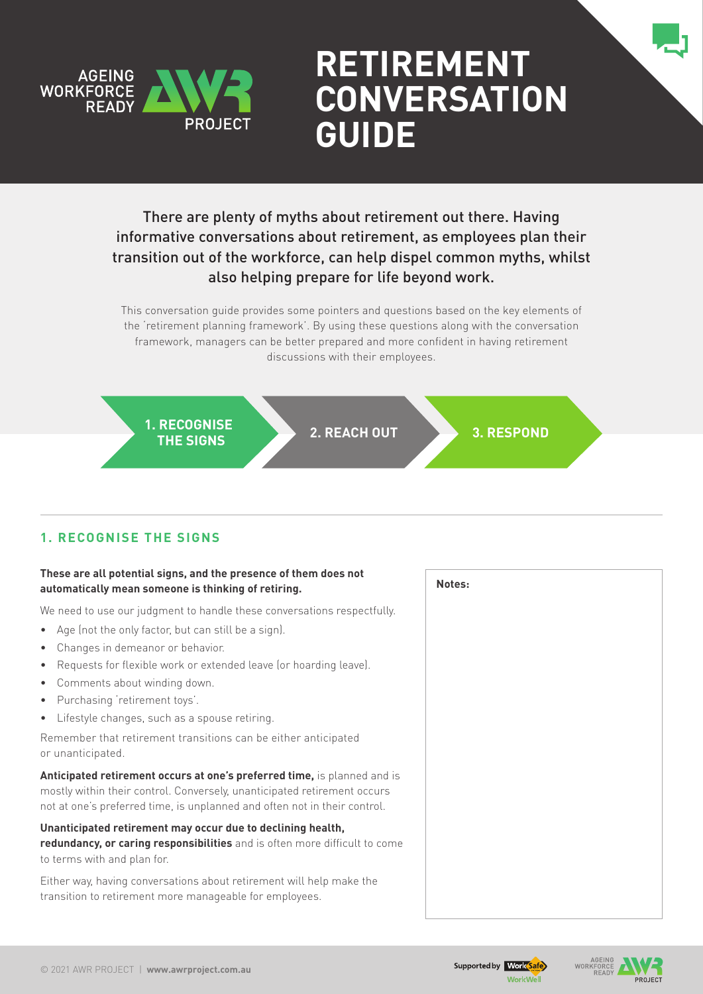

# **Retirement Conversation Guide**

There are plenty of myths about retirement out there. Having informative conversations about retirement, as employees plan their transition out of the workforce, can help dispel common myths, whilst also helping prepare for life beyond work.

This conversation guide provides some pointers and questions based on the key elements of the 'retirement planning framework'. By using these questions along with the conversation framework, managers can be better prepared and more confident in having retirement discussions with their employees.



## **1. Recognise the signs**

#### **These are all potential signs, and the presence of them does not automatically mean someone is thinking of retiring.**

We need to use our judgment to handle these conversations respectfully.

- Age (not the only factor, but can still be a sign).
- Changes in demeanor or behavior.
- Requests for flexible work or extended leave (or hoarding leave).
- Comments about winding down.
- Purchasing 'retirement toys'.
- • Lifestyle changes, such as a spouse retiring.

Remember that retirement transitions can be either anticipated or unanticipated.

**Anticipated retirement occurs at one's preferred time,** is planned and is mostly within their control. Conversely, unanticipated retirement occurs not at one's preferred time, is unplanned and often not in their control.

**Unanticipated retirement may occur due to declining health, redundancy, or caring responsibilities** and is often more difficult to come to terms with and plan for.

Either way, having conversations about retirement will help make the transition to retirement more manageable for employees.

**Notes:**



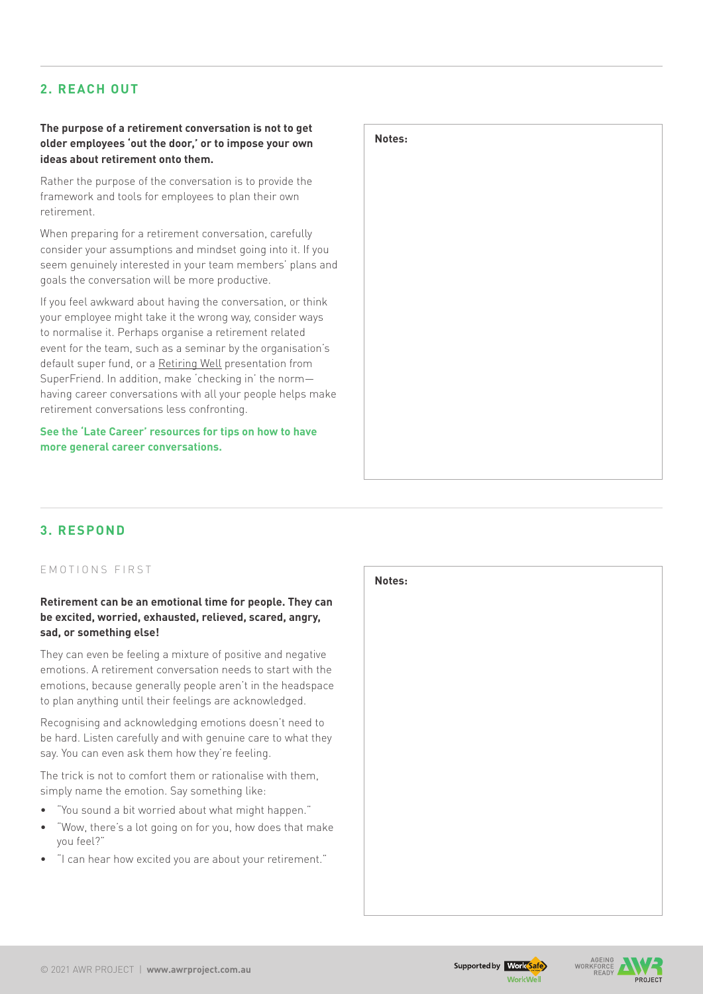## **2. Reach out**

#### **The purpose of a retirement conversation is not to get older employees 'out the door,' or to impose your own ideas about retirement onto them.**

Rather the purpose of the conversation is to provide the framework and tools for employees to plan their own retirement.

When preparing for a retirement conversation, carefully consider your assumptions and mindset going into it. If you seem genuinely interested in your team members' plans and goals the conversation will be more productive.

If you feel awkward about having the conversation, or think your employee might take it the wrong way, consider ways to normalise it. Perhaps organise a retirement related event for the team, such as a seminar by the organisation's default super fund, or a [Retiring Well](https://superfriend.com.au/solutions/retiring-well/retiring-well-presentation/) presentation from SuperFriend. In addition, make 'checking in' the norm having career conversations with all your people helps make retirement conversations less confronting.

**See the 'Late Career' resources for tips on how to have more general career conversations.**



## **3. ReSPOND**

#### EMOTIONS FIRST

#### **Retirement can be an emotional time for people. They can be excited, worried, exhausted, relieved, scared, angry, sad, or something else!**

They can even be feeling a mixture of positive and negative emotions. A retirement conversation needs to start with the emotions, because generally people aren't in the headspace to plan anything until their feelings are acknowledged.

Recognising and acknowledging emotions doesn't need to be hard. Listen carefully and with genuine care to what they say. You can even ask them how they're feeling.

The trick is not to comfort them or rationalise with them, simply name the emotion. Say something like:

- "You sound a bit worried about what might happen."
- "Wow, there's a lot going on for you, how does that make you feel?"
- "I can hear how excited you are about your retirement."





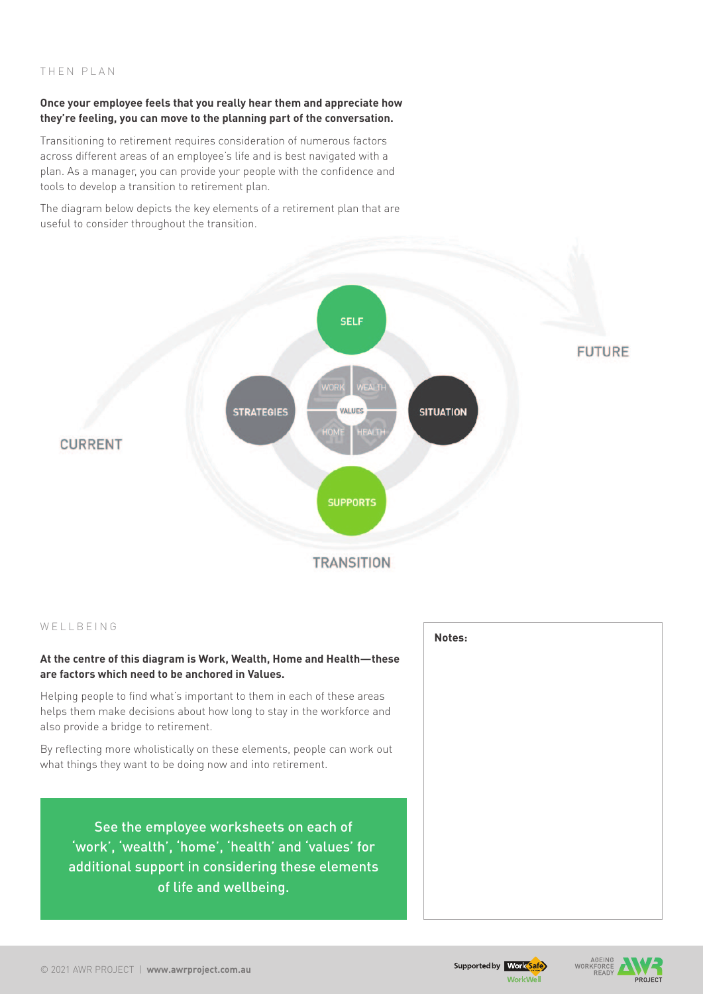#### THEN PLAN

#### **Once your employee feels that you really hear them and appreciate how they're feeling, you can move to the planning part of the conversation.**

Transitioning to retirement requires consideration of numerous factors across different areas of an employee's life and is best navigated with a plan. As a manager, you can provide your people with the confidence and tools to develop a transition to retirement plan.

The diagram below depicts the key elements of a retirement plan that are useful to consider throughout the transition.



#### WELLBEING

#### **At the centre of this diagram is Work, Wealth, Home and Health—these are factors which need to be anchored in Values.**

Helping people to find what's important to them in each of these areas helps them make decisions about how long to stay in the workforce and also provide a bridge to retirement.

By reflecting more wholistically on these elements, people can work out what things they want to be doing now and into retirement.

See the employee worksheets on each of 'work', 'wealth', 'home', 'health' and 'values' for additional support in considering these elements of life and wellbeing.



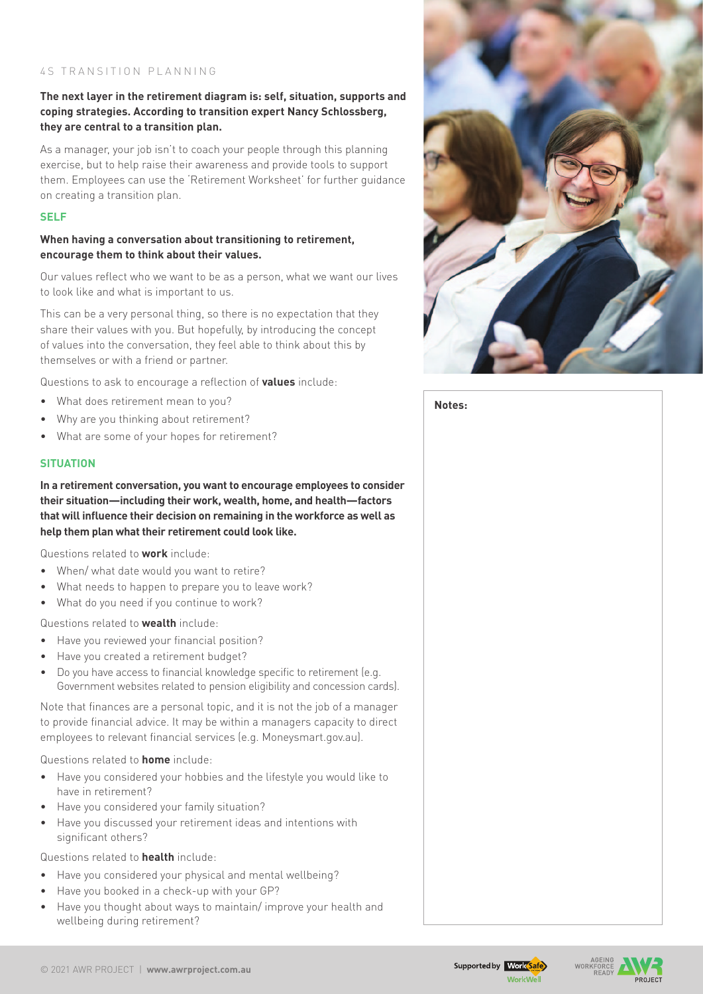#### 45 TRANSITION PLANNING

#### **The next layer in the retirement diagram is: self, situation, supports and coping strategies. According to transition expert Nancy Schlossberg, they are central to a transition plan.**

As a manager, your job isn't to coach your people through this planning exercise, but to help raise their awareness and provide tools to support them. Employees can use the 'Retirement Worksheet' for further guidance on creating a transition plan.

#### **SELF**

#### **When having a conversation about transitioning to retirement, encourage them to think about their values.**

Our values reflect who we want to be as a person, what we want our lives to look like and what is important to us.

This can be a very personal thing, so there is no expectation that they share their values with you. But hopefully, by introducing the concept of values into the conversation, they feel able to think about this by themselves or with a friend or partner.

Questions to ask to encourage a reflection of **values** include:

- What does retirement mean to you?
- Why are you thinking about retirement?
- What are some of your hopes for retirement?

#### **SITUATION**

**In a retirement conversation, you want to encourage employees to consider their situation—including their work, wealth, home, and health—factors that will influence their decision on remaining in the workforce as well as help them plan what their retirement could look like.** 

Questions related to **work** include:

- When/ what date would you want to retire?
- What needs to happen to prepare you to leave work?
- What do you need if you continue to work?

Questions related to **wealth** include:

- • Have you reviewed your financial position?
- Have you created a retirement budget?
- Do you have access to financial knowledge specific to retirement (e.g. Government websites related to pension eligibility and concession cards).

Note that finances are a personal topic, and it is not the job of a manager to provide financial advice. It may be within a managers capacity to direct employees to relevant financial services (e.g. [Moneysmart.gov.au\)](http://Moneysmart.gov.au).

Questions related to **home** include:

- Have you considered your hobbies and the lifestyle you would like to have in retirement?
- Have you considered your family situation?
- Have you discussed your retirement ideas and intentions with significant others?

Questions related to **health** include:

- Have you considered your physical and mental wellbeing?
- Have you booked in a check-up with your GP?
- Have you thought about ways to maintain/ improve your health and wellbeing during retirement?



**Notes:**